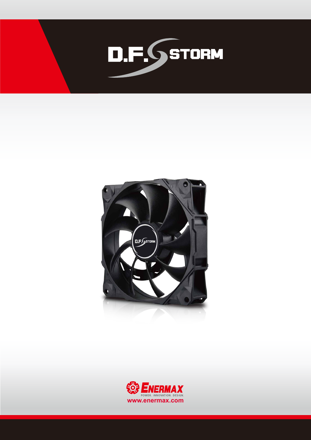



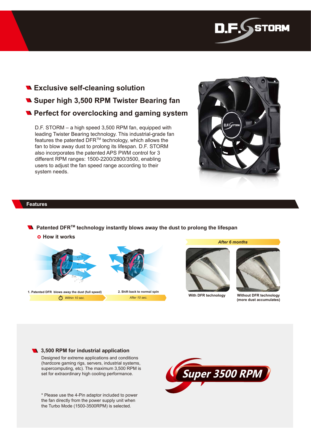

# **Exclusive self-cleaning solution Super high 3,500 RPM Twister Bearing fan Perfect for overclocking and gaming system**

D.F. STORM – a high speed 3,500 RPM fan, equipped with leading Twister Bearing technology. This industrial-grade fan features the patented DFRTM technology, which allows the fan to blow away dust to prolong its lifespan. D.F. STORM also incorporates the patented APS PWM control for 3 different RPM ranges: 1500-2200/2800/3500, enabling users to adjust the fan speed range according to their system needs.



# **Features**

■ Patented DFR<sup>™</sup> technology instantly blows away the dust to prolong the lifespan

○ **How it works**



**1. Patented DFR blows away the dust (full speed) 2. Shift back to normal spin** *Within 10 sec. After 10 sec.*



*After 6 months*



**With DFR technology Without DFR technology (more dust accumulates)**

#### **13,500 RPM for industrial application**

Designed for extreme applications and conditions (hardcore gaming rigs, servers, industrial systems, supercomputing, etc). The maximum 3,500 RPM is set for extraordinary high cooling performance.

\* Please use the 4-Pin adaptor included to power the fan directly from the power supply unit when the Turbo Mode (1500-3500RPM) is selected.

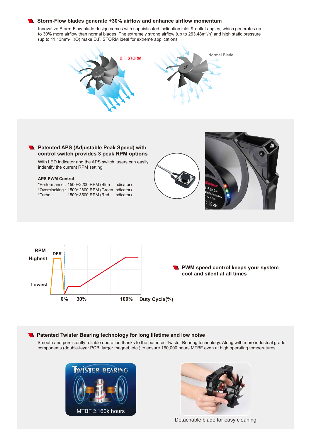#### **Storm-Flow blades generate +30% airflow and enhance airflow momentum**

Innovative Storm-Flow blade design comes with sophisticated inclination inlet & outlet angles, which generates up to 30% more airflow than normal blades. The extremely strong airflow (up to 263.48m<sup>3</sup>/h) and high static pressure (up to 11.13mm-H2O) make D.F. STORM ideal for extreme applications



### **R** Patented APS (Adjustable Peak Speed) with **control switch provides 3 peak RPM options**

With LED indicator and the APS switch, users can easily indentify the current RPM setting

#### **APS PWM Control**

| *Performance: 1500~2200 RPM (Blue indicator)   |                     |            |
|------------------------------------------------|---------------------|------------|
| *Overclocking: 1500~2800 RPM (Green indicator) |                     |            |
| *Turbo :                                       | 1500~3500 RPM (Red) | indicator) |







#### **Ratented Twister Bearing technology for long lifetime and low noise**

Smooth and persistently reliable operation thanks to the patented Twister Bearing technology. Along with more industrial grade components (double-layer PCB, larger magnet, etc.) to ensure 160,000 hours MTBF even at high operating temperatures.





Detachable blade for easy cleaning